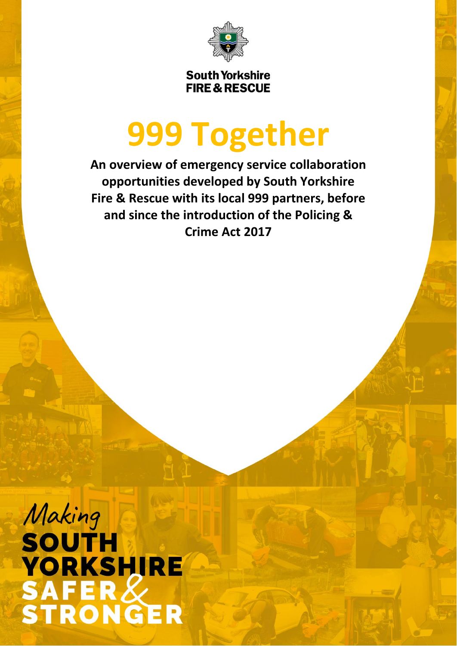

**South Yorkshire FIRE & RESCUE** 

# **999 Together**

**An overview of emergency service collaboration opportunities developed by South Yorkshire Fire & Rescue with its local 999 partners, before and since the introduction of the Policing & Crime Act 2017**

Making **SOUTH YORKSHIRE** SAFER&<br>STRONGER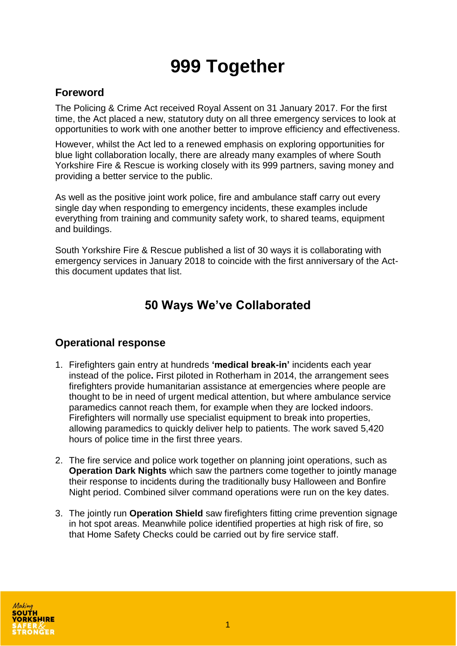# **999 Together**

#### **Foreword**

The Policing & Crime Act received Royal Assent on 31 January 2017. For the first time, the Act placed a new, statutory duty on all three emergency services to look at opportunities to work with one another better to improve efficiency and effectiveness.

However, whilst the Act led to a renewed emphasis on exploring opportunities for blue light collaboration locally, there are already many examples of where South Yorkshire Fire & Rescue is working closely with its 999 partners, saving money and providing a better service to the public.

As well as the positive joint work police, fire and ambulance staff carry out every single day when responding to emergency incidents, these examples include everything from training and community safety work, to shared teams, equipment and buildings.

South Yorkshire Fire & Rescue published a list of 30 ways it is collaborating with emergency services in January 2018 to coincide with the first anniversary of the Actthis document updates that list.

# **50 Ways We've Collaborated**

#### **Operational response**

- 1. Firefighters gain entry at hundreds **'medical break-in'** incidents each year instead of the police**.** First piloted in Rotherham in 2014, the arrangement sees firefighters provide humanitarian assistance at emergencies where people are thought to be in need of urgent medical attention, but where ambulance service paramedics cannot reach them, for example when they are locked indoors. Firefighters will normally use specialist equipment to break into properties, allowing paramedics to quickly deliver help to patients. The work saved 5,420 hours of police time in the first three years.
- 2. The fire service and police work together on planning joint operations, such as **Operation Dark Nights** which saw the partners come together to jointly manage their response to incidents during the traditionally busy Halloween and Bonfire Night period. Combined silver command operations were run on the key dates.
- 3. The jointly run **Operation Shield** saw firefighters fitting crime prevention signage in hot spot areas. Meanwhile police identified properties at high risk of fire, so that Home Safety Checks could be carried out by fire service staff.

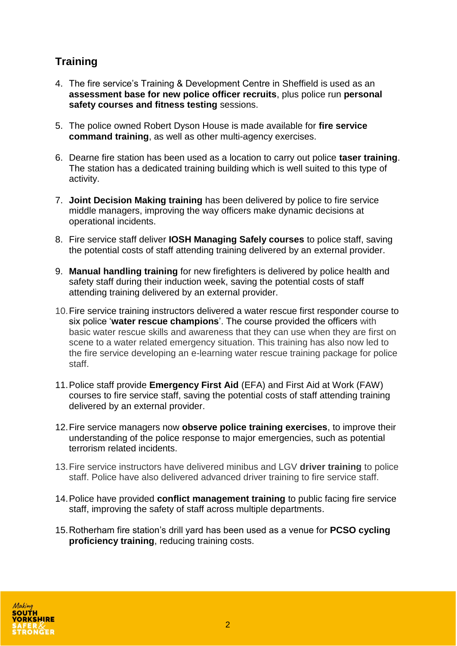## **Training**

- 4. The fire service's Training & Development Centre in Sheffield is used as an **assessment base for new police officer recruits**, plus police run **personal safety courses and fitness testing** sessions.
- 5. The police owned Robert Dyson House is made available for **fire service command training**, as well as other multi-agency exercises.
- 6. Dearne fire station has been used as a location to carry out police **taser training**. The station has a dedicated training building which is well suited to this type of activity.
- 7. **Joint Decision Making training** has been delivered by police to fire service middle managers, improving the way officers make dynamic decisions at operational incidents.
- 8. Fire service staff deliver **IOSH Managing Safely courses** to police staff, saving the potential costs of staff attending training delivered by an external provider.
- 9. **Manual handling training** for new firefighters is delivered by police health and safety staff during their induction week, saving the potential costs of staff attending training delivered by an external provider.
- 10.Fire service training instructors delivered a water rescue first responder course to six police '**water rescue champions**'. The course provided the officers with basic water rescue skills and awareness that they can use when they are first on scene to a water related emergency situation. This training has also now led to the fire service developing an e-learning water rescue training package for police staff.
- 11.Police staff provide **Emergency First Aid** (EFA) and First Aid at Work (FAW) courses to fire service staff, saving the potential costs of staff attending training delivered by an external provider.
- 12.Fire service managers now **observe police training exercises**, to improve their understanding of the police response to major emergencies, such as potential terrorism related incidents.
- 13.Fire service instructors have delivered minibus and LGV **driver training** to police staff. Police have also delivered advanced driver training to fire service staff.
- 14.Police have provided **conflict management training** to public facing fire service staff, improving the safety of staff across multiple departments.
- 15.Rotherham fire station's drill yard has been used as a venue for **PCSO cycling proficiency training**, reducing training costs.

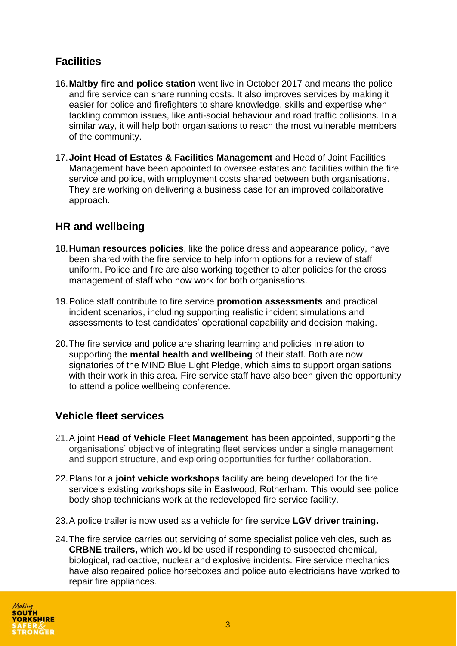### **Facilities**

- 16.**Maltby fire and police station** went live in October 2017 and means the police and fire service can share running costs. It also improves services by making it easier for police and firefighters to share knowledge, skills and expertise when tackling common issues, like anti-social behaviour and road traffic collisions. In a similar way, it will help both organisations to reach the most vulnerable members of the community.
- 17.**Joint Head of Estates & Facilities Management** and Head of Joint Facilities Management have been appointed to oversee estates and facilities within the fire service and police, with employment costs shared between both organisations. They are working on delivering a business case for an improved collaborative approach.

#### **HR and wellbeing**

- 18.**Human resources policies**, like the police dress and appearance policy, have been shared with the fire service to help inform options for a review of staff uniform. Police and fire are also working together to alter policies for the cross management of staff who now work for both organisations.
- 19.Police staff contribute to fire service **promotion assessments** and practical incident scenarios, including supporting realistic incident simulations and assessments to test candidates' operational capability and decision making.
- 20.The fire service and police are sharing learning and policies in relation to supporting the **mental health and wellbeing** of their staff. Both are now signatories of the MIND Blue Light Pledge, which aims to support organisations with their work in this area. Fire service staff have also been given the opportunity to attend a police wellbeing conference.

#### **Vehicle fleet services**

- 21.A joint **Head of Vehicle Fleet Management** has been appointed, supporting the organisations' objective of integrating fleet services under a single management and support structure, and exploring opportunities for further collaboration.
- 22.Plans for a **joint vehicle workshops** facility are being developed for the fire service's existing workshops site in Eastwood, Rotherham. This would see police body shop technicians work at the redeveloped fire service facility.
- 23.A police trailer is now used as a vehicle for fire service **LGV driver training.**
- 24.The fire service carries out servicing of some specialist police vehicles, such as **CRBNE trailers,** which would be used if responding to suspected chemical, biological, radioactive, nuclear and explosive incidents. Fire service mechanics have also repaired police horseboxes and police auto electricians have worked to repair fire appliances.

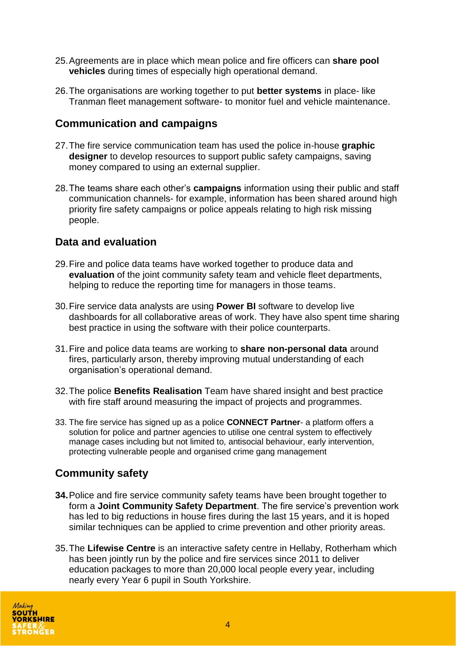- 25.Agreements are in place which mean police and fire officers can **share pool vehicles** during times of especially high operational demand.
- 26.The organisations are working together to put **better systems** in place- like Tranman fleet management software- to monitor fuel and vehicle maintenance.

#### **Communication and campaigns**

- 27.The fire service communication team has used the police in-house **graphic designer** to develop resources to support public safety campaigns, saving money compared to using an external supplier.
- 28.The teams share each other's **campaigns** information using their public and staff communication channels- for example, information has been shared around high priority fire safety campaigns or police appeals relating to high risk missing people.

#### **Data and evaluation**

- 29.Fire and police data teams have worked together to produce data and **evaluation** of the joint community safety team and vehicle fleet departments, helping to reduce the reporting time for managers in those teams.
- 30.Fire service data analysts are using **Power BI** software to develop live dashboards for all collaborative areas of work. They have also spent time sharing best practice in using the software with their police counterparts.
- 31.Fire and police data teams are working to **share non-personal data** around fires, particularly arson, thereby improving mutual understanding of each organisation's operational demand.
- 32.The police **Benefits Realisation** Team have shared insight and best practice with fire staff around measuring the impact of projects and programmes.
- 33. The fire service has signed up as a police **CONNECT Partner** a platform offers a solution for police and partner agencies to utilise one central system to effectively manage cases including but not limited to, antisocial behaviour, early intervention, protecting vulnerable people and organised crime gang management

#### **Community safety**

- **34.**Police and fire service community safety teams have been brought together to form a **Joint Community Safety Department**. The fire service's prevention work has led to big reductions in house fires during the last 15 years, and it is hoped similar techniques can be applied to crime prevention and other priority areas.
- 35.The **Lifewise Centre** is an interactive safety centre in Hellaby, Rotherham which has been jointly run by the police and fire services since 2011 to deliver education packages to more than 20,000 local people every year, including nearly every Year 6 pupil in South Yorkshire.

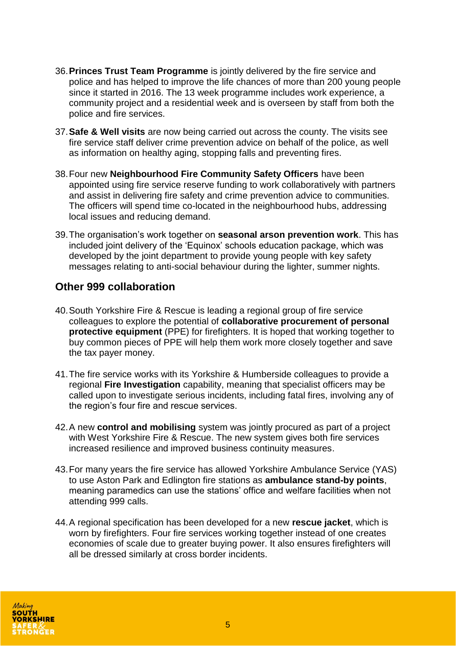- 36.**Princes Trust Team Programme** is jointly delivered by the fire service and police and has helped to improve the life chances of more than 200 young people since it started in 2016. The 13 week programme includes work experience, a community project and a residential week and is overseen by staff from both the police and fire services.
- 37.**Safe & Well visits** are now being carried out across the county. The visits see fire service staff deliver crime prevention advice on behalf of the police, as well as information on healthy aging, stopping falls and preventing fires.
- 38.Four new **Neighbourhood Fire Community Safety Officers** have been appointed using fire service reserve funding to work collaboratively with partners and assist in delivering fire safety and crime prevention advice to communities. The officers will spend time co-located in the neighbourhood hubs, addressing local issues and reducing demand.
- 39.The organisation's work together on **seasonal arson prevention work**. This has included joint delivery of the 'Equinox' schools education package, which was developed by the joint department to provide young people with key safety messages relating to anti-social behaviour during the lighter, summer nights.

#### **Other 999 collaboration**

- 40.South Yorkshire Fire & Rescue is leading a regional group of fire service colleagues to explore the potential of **collaborative procurement of personal protective equipment** (PPE) for firefighters. It is hoped that working together to buy common pieces of PPE will help them work more closely together and save the tax payer money.
- 41.The fire service works with its Yorkshire & Humberside colleagues to provide a regional **Fire Investigation** capability, meaning that specialist officers may be called upon to investigate serious incidents, including fatal fires, involving any of the region's four fire and rescue services.
- 42.A new **control and mobilising** system was jointly procured as part of a project with West Yorkshire Fire & Rescue. The new system gives both fire services increased resilience and improved business continuity measures.
- 43.For many years the fire service has allowed Yorkshire Ambulance Service (YAS) to use Aston Park and Edlington fire stations as **ambulance stand-by points**, meaning paramedics can use the stations' office and welfare facilities when not attending 999 calls.
- 44.A regional specification has been developed for a new **rescue jacket**, which is worn by firefighters. Four fire services working together instead of one creates economies of scale due to greater buying power. It also ensures firefighters will all be dressed similarly at cross border incidents.